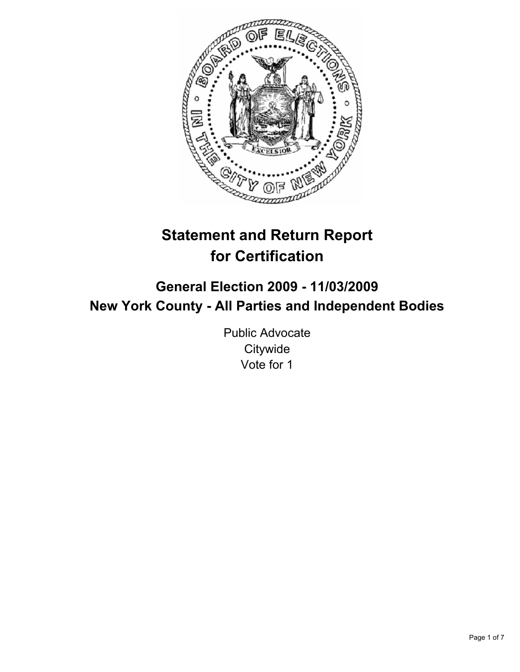

# **Statement and Return Report for Certification**

## **General Election 2009 - 11/03/2009 New York County - All Parties and Independent Bodies**

Public Advocate **Citywide** Vote for 1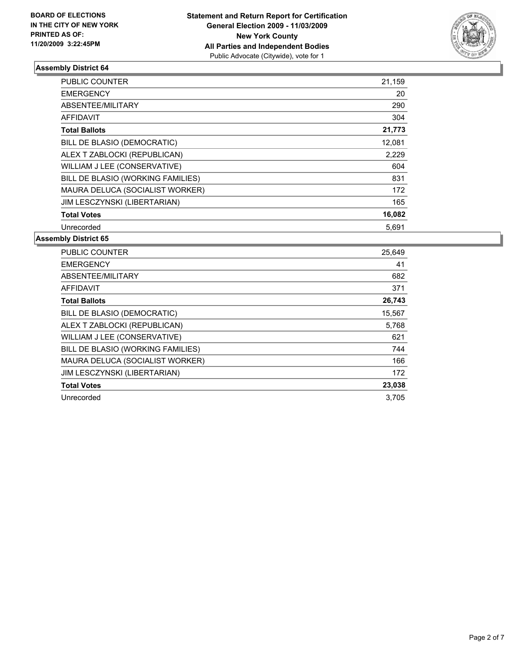

| <b>PUBLIC COUNTER</b>             | 21,159 |
|-----------------------------------|--------|
| <b>EMERGENCY</b>                  | 20     |
| ABSENTEE/MILITARY                 | 290    |
| <b>AFFIDAVIT</b>                  | 304    |
| <b>Total Ballots</b>              | 21,773 |
| BILL DE BLASIO (DEMOCRATIC)       | 12,081 |
| ALEX T ZABLOCKI (REPUBLICAN)      | 2,229  |
| WILLIAM J LEE (CONSERVATIVE)      | 604    |
| BILL DE BLASIO (WORKING FAMILIES) | 831    |
| MAURA DELUCA (SOCIALIST WORKER)   | 172    |
| JIM LESCZYNSKI (LIBERTARIAN)      | 165    |
| <b>Total Votes</b>                | 16,082 |
| Unrecorded                        | 5,691  |

| <b>PUBLIC COUNTER</b>               | 25,649 |
|-------------------------------------|--------|
| <b>EMERGENCY</b>                    | 41     |
| ABSENTEE/MILITARY                   | 682    |
| <b>AFFIDAVIT</b>                    | 371    |
| <b>Total Ballots</b>                | 26,743 |
| BILL DE BLASIO (DEMOCRATIC)         | 15,567 |
| ALEX T ZABLOCKI (REPUBLICAN)        | 5,768  |
| WILLIAM J LEE (CONSERVATIVE)        | 621    |
| BILL DE BLASIO (WORKING FAMILIES)   | 744    |
| MAURA DELUCA (SOCIALIST WORKER)     | 166    |
| <b>JIM LESCZYNSKI (LIBERTARIAN)</b> | 172    |
| <b>Total Votes</b>                  | 23,038 |
| Unrecorded                          | 3.705  |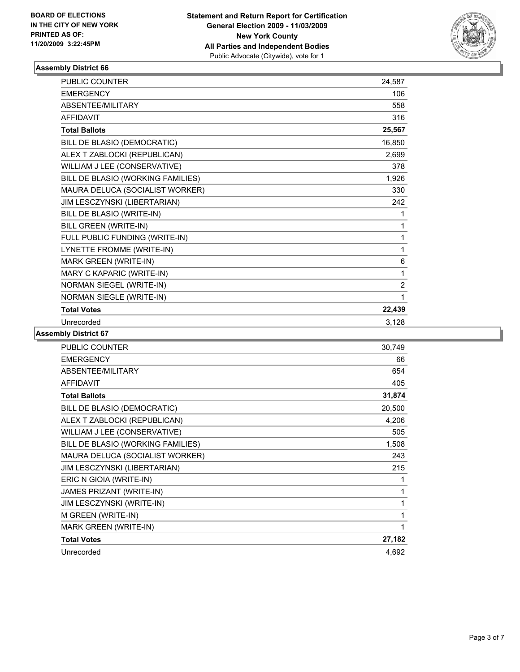

| <b>PUBLIC COUNTER</b>             | 24,587         |
|-----------------------------------|----------------|
| <b>EMERGENCY</b>                  | 106            |
| ABSENTEE/MILITARY                 | 558            |
| <b>AFFIDAVIT</b>                  | 316            |
| <b>Total Ballots</b>              | 25,567         |
| BILL DE BLASIO (DEMOCRATIC)       | 16,850         |
| ALEX T ZABLOCKI (REPUBLICAN)      | 2,699          |
| WILLIAM J LEE (CONSERVATIVE)      | 378            |
| BILL DE BLASIO (WORKING FAMILIES) | 1,926          |
| MAURA DELUCA (SOCIALIST WORKER)   | 330            |
| JIM LESCZYNSKI (LIBERTARIAN)      | 242            |
| BILL DE BLASIO (WRITE-IN)         | 1              |
| BILL GREEN (WRITE-IN)             | 1              |
| FULL PUBLIC FUNDING (WRITE-IN)    | 1              |
| LYNETTE FROMME (WRITE-IN)         | 1              |
| MARK GREEN (WRITE-IN)             | 6              |
| MARY C KAPARIC (WRITE-IN)         | 1              |
| NORMAN SIEGEL (WRITE-IN)          | $\overline{2}$ |
| <b>NORMAN SIEGLE (WRITE-IN)</b>   | 1              |
| <b>Total Votes</b>                | 22,439         |
| Unrecorded                        | 3,128          |

| <b>PUBLIC COUNTER</b>             | 30,749 |
|-----------------------------------|--------|
| <b>EMERGENCY</b>                  | 66     |
| ABSENTEE/MILITARY                 | 654    |
| <b>AFFIDAVIT</b>                  | 405    |
| <b>Total Ballots</b>              | 31,874 |
| BILL DE BLASIO (DEMOCRATIC)       | 20,500 |
| ALEX T ZABLOCKI (REPUBLICAN)      | 4,206  |
| WILLIAM J LEE (CONSERVATIVE)      | 505    |
| BILL DE BLASIO (WORKING FAMILIES) | 1,508  |
| MAURA DELUCA (SOCIALIST WORKER)   | 243    |
| JIM LESCZYNSKI (LIBERTARIAN)      | 215    |
| ERIC N GIOIA (WRITE-IN)           | 1      |
| JAMES PRIZANT (WRITE-IN)          | 1      |
| JIM LESCZYNSKI (WRITE-IN)         | 1      |
| M GREEN (WRITE-IN)                | 1      |
| MARK GREEN (WRITE-IN)             | 1      |
| <b>Total Votes</b>                | 27,182 |
| Unrecorded                        | 4,692  |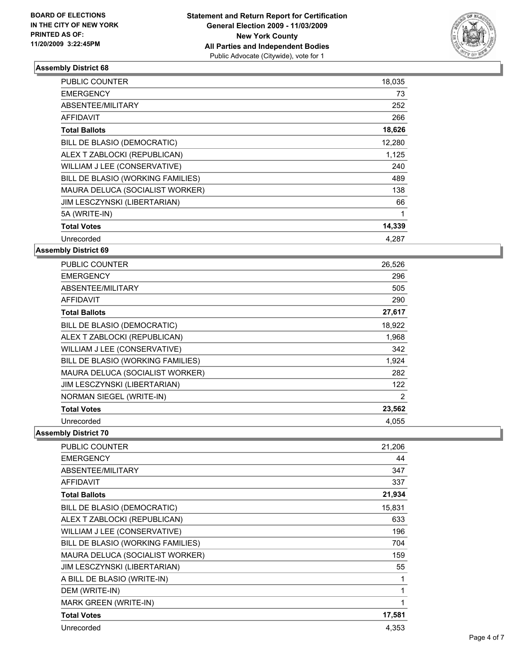

| <b>PUBLIC COUNTER</b>             | 18,035 |
|-----------------------------------|--------|
| <b>EMERGENCY</b>                  | 73     |
| ABSENTEE/MILITARY                 | 252    |
| <b>AFFIDAVIT</b>                  | 266    |
| <b>Total Ballots</b>              | 18,626 |
| BILL DE BLASIO (DEMOCRATIC)       | 12,280 |
| ALEX T ZABLOCKI (REPUBLICAN)      | 1,125  |
| WILLIAM J LEE (CONSERVATIVE)      | 240    |
| BILL DE BLASIO (WORKING FAMILIES) | 489    |
| MAURA DELUCA (SOCIALIST WORKER)   | 138    |
| JIM LESCZYNSKI (LIBERTARIAN)      | 66     |
| 5A (WRITE-IN)                     | 1      |
| <b>Total Votes</b>                | 14,339 |
| Unrecorded                        | 4.287  |

**Assembly District 69**

| <b>PUBLIC COUNTER</b>             | 26,526 |
|-----------------------------------|--------|
| <b>EMERGENCY</b>                  | 296    |
| ABSENTEE/MILITARY                 | 505    |
| <b>AFFIDAVIT</b>                  | 290    |
| <b>Total Ballots</b>              | 27,617 |
| BILL DE BLASIO (DEMOCRATIC)       | 18,922 |
| ALEX T ZABLOCKI (REPUBLICAN)      | 1,968  |
| WILLIAM J LEE (CONSERVATIVE)      | 342    |
| BILL DE BLASIO (WORKING FAMILIES) | 1,924  |
| MAURA DELUCA (SOCIALIST WORKER)   | 282    |
| JIM LESCZYNSKI (LIBERTARIAN)      | 122    |
| NORMAN SIEGEL (WRITE-IN)          | 2      |
| <b>Total Votes</b>                | 23,562 |
| Unrecorded                        | 4,055  |

| <b>PUBLIC COUNTER</b>             | 21,206 |
|-----------------------------------|--------|
| <b>EMERGENCY</b>                  | 44     |
| ABSENTEE/MILITARY                 | 347    |
| <b>AFFIDAVIT</b>                  | 337    |
| <b>Total Ballots</b>              | 21,934 |
| BILL DE BLASIO (DEMOCRATIC)       | 15,831 |
| ALEX T ZABLOCKI (REPUBLICAN)      | 633    |
| WILLIAM J LEE (CONSERVATIVE)      | 196    |
| BILL DE BLASIO (WORKING FAMILIES) | 704    |
| MAURA DELUCA (SOCIALIST WORKER)   | 159    |
| JIM LESCZYNSKI (LIBERTARIAN)      | 55     |
| A BILL DE BLASIO (WRITE-IN)       | 1      |
| DEM (WRITE-IN)                    | 1      |
| <b>MARK GREEN (WRITE-IN)</b>      | 1      |
| <b>Total Votes</b>                | 17,581 |
| Unrecorded                        | 4,353  |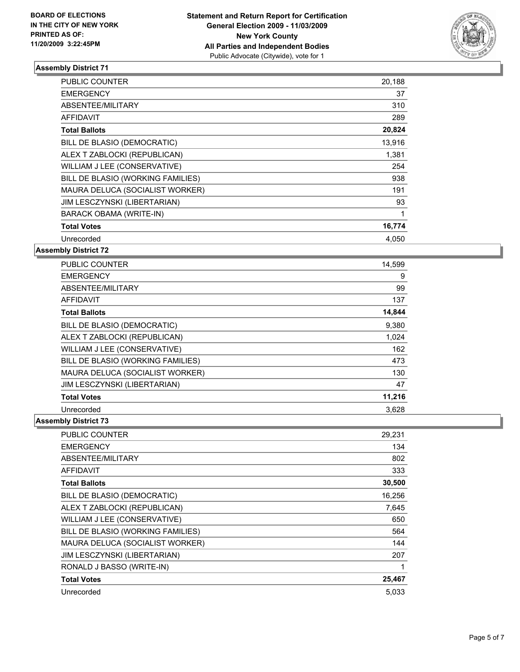

| <b>PUBLIC COUNTER</b>             | 20,188 |
|-----------------------------------|--------|
| <b>EMERGENCY</b>                  | 37     |
| ABSENTEE/MILITARY                 | 310    |
| <b>AFFIDAVIT</b>                  | 289    |
| <b>Total Ballots</b>              | 20,824 |
| BILL DE BLASIO (DEMOCRATIC)       | 13,916 |
| ALEX T ZABLOCKI (REPUBLICAN)      | 1,381  |
| WILLIAM J LEE (CONSERVATIVE)      | 254    |
| BILL DE BLASIO (WORKING FAMILIES) | 938    |
| MAURA DELUCA (SOCIALIST WORKER)   | 191    |
| JIM LESCZYNSKI (LIBERTARIAN)      | 93     |
| <b>BARACK OBAMA (WRITE-IN)</b>    | 1      |
| <b>Total Votes</b>                | 16,774 |
| Unrecorded                        | 4,050  |

**Assembly District 72**

| <b>PUBLIC COUNTER</b>             | 14,599 |
|-----------------------------------|--------|
| <b>EMERGENCY</b>                  | 9      |
| ABSENTEE/MILITARY                 | 99     |
| <b>AFFIDAVIT</b>                  | 137    |
| <b>Total Ballots</b>              | 14,844 |
| BILL DE BLASIO (DEMOCRATIC)       | 9,380  |
| ALEX T ZABLOCKI (REPUBLICAN)      | 1,024  |
| WILLIAM J LEE (CONSERVATIVE)      | 162    |
| BILL DE BLASIO (WORKING FAMILIES) | 473    |
| MAURA DELUCA (SOCIALIST WORKER)   | 130    |
| JIM LESCZYNSKI (LIBERTARIAN)      | 47     |
| <b>Total Votes</b>                | 11,216 |
| Unrecorded                        | 3,628  |

| <b>PUBLIC COUNTER</b>             | 29,231 |
|-----------------------------------|--------|
| <b>EMERGENCY</b>                  | 134    |
| ABSENTEE/MILITARY                 | 802    |
| <b>AFFIDAVIT</b>                  | 333    |
| <b>Total Ballots</b>              | 30,500 |
| BILL DE BLASIO (DEMOCRATIC)       | 16,256 |
| ALEX T ZABLOCKI (REPUBLICAN)      | 7,645  |
| WILLIAM J LEE (CONSERVATIVE)      | 650    |
| BILL DE BLASIO (WORKING FAMILIES) | 564    |
| MAURA DELUCA (SOCIALIST WORKER)   | 144    |
| JIM LESCZYNSKI (LIBERTARIAN)      | 207    |
| RONALD J BASSO (WRITE-IN)         | 1      |
| <b>Total Votes</b>                | 25,467 |
| Unrecorded                        | 5,033  |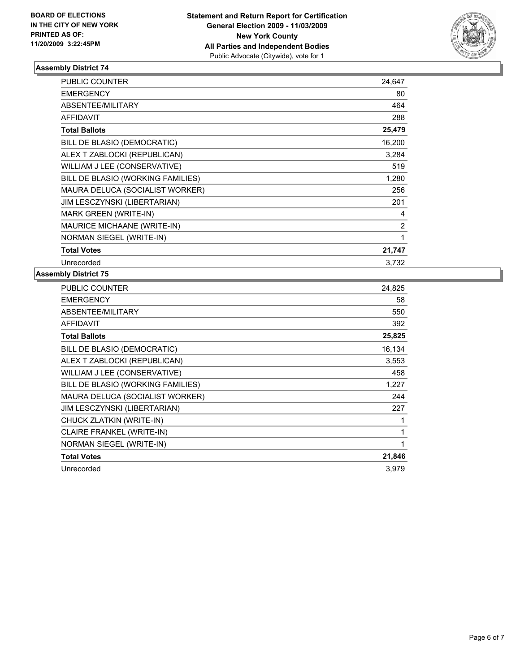

| <b>PUBLIC COUNTER</b>              | 24,647 |
|------------------------------------|--------|
| <b>EMERGENCY</b>                   | 80     |
| ABSENTEE/MILITARY                  | 464    |
| <b>AFFIDAVIT</b>                   | 288    |
| <b>Total Ballots</b>               | 25,479 |
| BILL DE BLASIO (DEMOCRATIC)        | 16,200 |
| ALEX T ZABLOCKI (REPUBLICAN)       | 3,284  |
| WILLIAM J LEE (CONSERVATIVE)       | 519    |
| BILL DE BLASIO (WORKING FAMILIES)  | 1,280  |
| MAURA DELUCA (SOCIALIST WORKER)    | 256    |
| JIM LESCZYNSKI (LIBERTARIAN)       | 201    |
| <b>MARK GREEN (WRITE-IN)</b>       | 4      |
| <b>MAURICE MICHAANE (WRITE-IN)</b> | 2      |
| NORMAN SIEGEL (WRITE-IN)           | 1      |
| <b>Total Votes</b>                 | 21,747 |
| Unrecorded                         | 3,732  |

| <b>PUBLIC COUNTER</b>             | 24,825 |
|-----------------------------------|--------|
| <b>EMERGENCY</b>                  | 58     |
| ABSENTEE/MILITARY                 | 550    |
| <b>AFFIDAVIT</b>                  | 392    |
| <b>Total Ballots</b>              | 25,825 |
| BILL DE BLASIO (DEMOCRATIC)       | 16,134 |
| ALEX T ZABLOCKI (REPUBLICAN)      | 3,553  |
| WILLIAM J LEE (CONSERVATIVE)      | 458    |
| BILL DE BLASIO (WORKING FAMILIES) | 1,227  |
| MAURA DELUCA (SOCIALIST WORKER)   | 244    |
| JIM LESCZYNSKI (LIBERTARIAN)      | 227    |
| CHUCK ZLATKIN (WRITE-IN)          | 1      |
| <b>CLAIRE FRANKEL (WRITE-IN)</b>  | 1      |
| NORMAN SIEGEL (WRITE-IN)          | 1      |
| <b>Total Votes</b>                | 21,846 |
| Unrecorded                        | 3.979  |